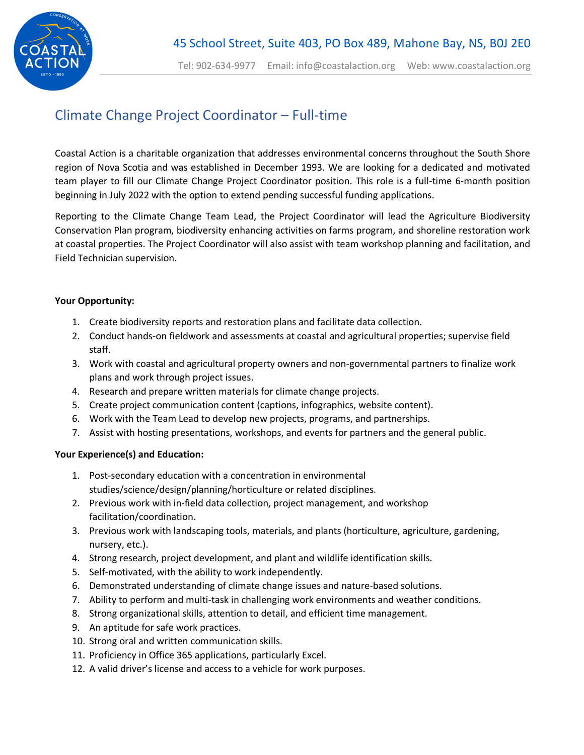

## Climate Change Project Coordinator – Full-time

Coastal Action is a charitable organization that addresses environmental concerns throughout the South Shore region of Nova Scotia and was established in December 1993. We are looking for a dedicated and motivated team player to fill our Climate Change Project Coordinator position. This role is a full-time 6-month position beginning in July 2022 with the option to extend pending successful funding applications.

Reporting to the Climate Change Team Lead, the Project Coordinator will lead the Agriculture Biodiversity Conservation Plan program, biodiversity enhancing activities on farms program, and shoreline restoration work at coastal properties. The Project Coordinator will also assist with team workshop planning and facilitation, and Field Technician supervision.

## **Your Opportunity:**

- 1. Create biodiversity reports and restoration plans and facilitate data collection.
- 2. Conduct hands-on fieldwork and assessments at coastal and agricultural properties; supervise field staff.
- 3. Work with coastal and agricultural property owners and non-governmental partners to finalize work plans and work through project issues.
- 4. Research and prepare written materials for climate change projects.
- 5. Create project communication content (captions, infographics, website content).
- 6. Work with the Team Lead to develop new projects, programs, and partnerships.
- 7. Assist with hosting presentations, workshops, and events for partners and the general public.

## **Your Experience(s) and Education:**

- 1. Post-secondary education with a concentration in environmental studies/science/design/planning/horticulture or related disciplines.
- 2. Previous work with in-field data collection, project management, and workshop facilitation/coordination.
- 3. Previous work with landscaping tools, materials, and plants (horticulture, agriculture, gardening, nursery, etc.).
- 4. Strong research, project development, and plant and wildlife identification skills.
- 5. Self-motivated, with the ability to work independently.
- 6. Demonstrated understanding of climate change issues and nature-based solutions.
- 7. Ability to perform and multi-task in challenging work environments and weather conditions.
- 8. Strong organizational skills, attention to detail, and efficient time management.
- 9. An aptitude for safe work practices.
- 10. Strong oral and written communication skills.
- 11. Proficiency in Office 365 applications, particularly Excel.
- 12. A valid driver's license and access to a vehicle for work purposes.